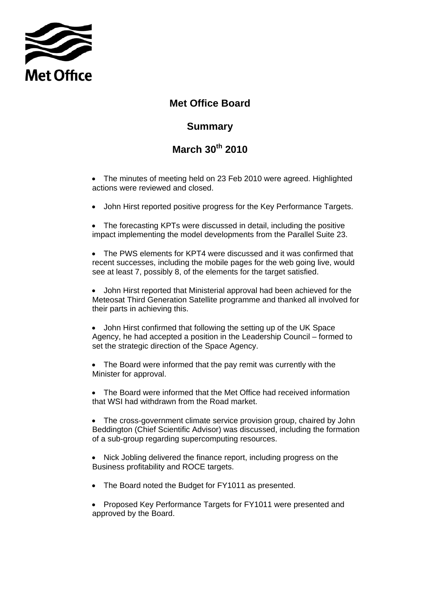

## **Met Office Board**

## **Summary**

## **March 30th 2010**

• The minutes of meeting held on 23 Feb 2010 were agreed. Highlighted actions were reviewed and closed.

• John Hirst reported positive progress for the Key Performance Targets.

• The forecasting KPTs were discussed in detail, including the positive impact implementing the model developments from the Parallel Suite 23.

• The PWS elements for KPT4 were discussed and it was confirmed that recent successes, including the mobile pages for the web going live, would see at least 7, possibly 8, of the elements for the target satisfied.

• John Hirst reported that Ministerial approval had been achieved for the Meteosat Third Generation Satellite programme and thanked all involved for their parts in achieving this.

• John Hirst confirmed that following the setting up of the UK Space Agency, he had accepted a position in the Leadership Council – formed to set the strategic direction of the Space Agency.

• The Board were informed that the pay remit was currently with the Minister for approval.

• The Board were informed that the Met Office had received information that WSI had withdrawn from the Road market.

• The cross-government climate service provision group, chaired by John Beddington (Chief Scientific Advisor) was discussed, including the formation of a sub-group regarding supercomputing resources.

• Nick Jobling delivered the finance report, including progress on the Business profitability and ROCE targets.

- The Board noted the Budget for FY1011 as presented.
- Proposed Key Performance Targets for FY1011 were presented and approved by the Board.